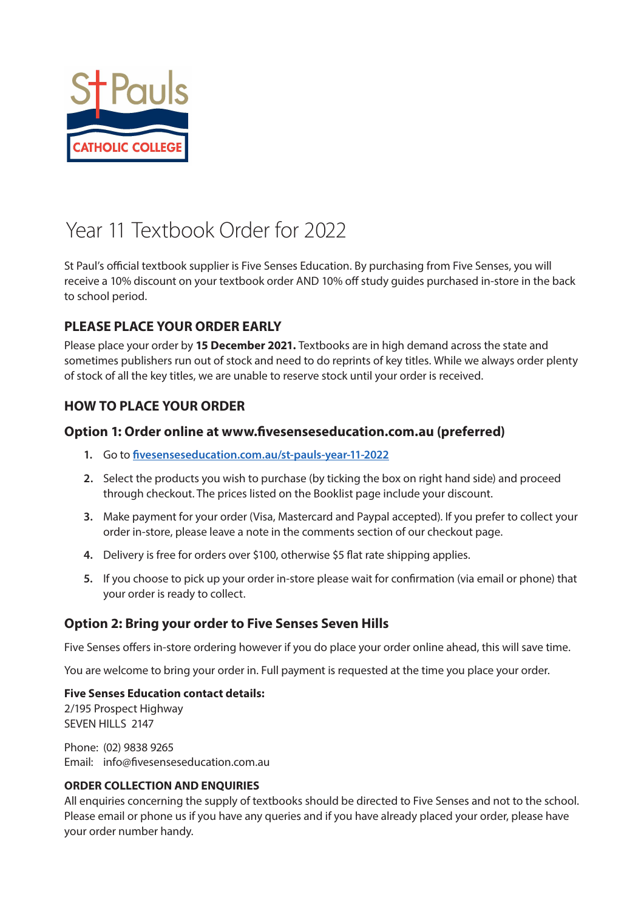

# Year 11 Textbook Order for 2022

St Paul's official textbook supplier is Five Senses Education. By purchasing from Five Senses, you will receive a 10% discount on your textbook order AND 10% off study guides purchased in-store in the back to school period.

### **PLEASE PLACE YOUR ORDER EARLY**

Please place your order by **15 December 2021.** Textbooks are in high demand across the state and sometimes publishers run out of stock and need to do reprints of key titles. While we always order plenty of stock of all the key titles, we are unable to reserve stock until your order is received.

### **HOW TO PLACE YOUR ORDER**

### **Option 1: Order online at www.fivesenseseducation.com.au (preferred)**

- **1.** Go to **[fivesenseseducation.com.au/st-pauls-year-11-2022](https://fivesenseseducation.com.au/st-pauls-year-11-2022)**
- **2.** Select the products you wish to purchase (by ticking the box on right hand side) and proceed through checkout. The prices listed on the Booklist page include your discount.
- **3.** Make payment for your order (Visa, Mastercard and Paypal accepted). If you prefer to collect your order in-store, please leave a note in the comments section of our checkout page.
- **4.** Delivery is free for orders over \$100, otherwise \$5 flat rate shipping applies.
- **5.** If you choose to pick up your order in-store please wait for confirmation (via email or phone) that your order is ready to collect.

### **Option 2: Bring your order to Five Senses Seven Hills**

Five Senses offers in-store ordering however if you do place your order online ahead, this will save time.

You are welcome to bring your order in. Full payment is requested at the time you place your order.

### **Five Senses Education contact details:**

2/195 Prospect Highway SEVEN HILLS 2147

Phone: (02) 9838 9265 Email: info@fivesenseseducation.com.au

### **ORDER COLLECTION AND ENQUIRIES**

All enquiries concerning the supply of textbooks should be directed to Five Senses and not to the school. Please email or phone us if you have any queries and if you have already placed your order, please have your order number handy.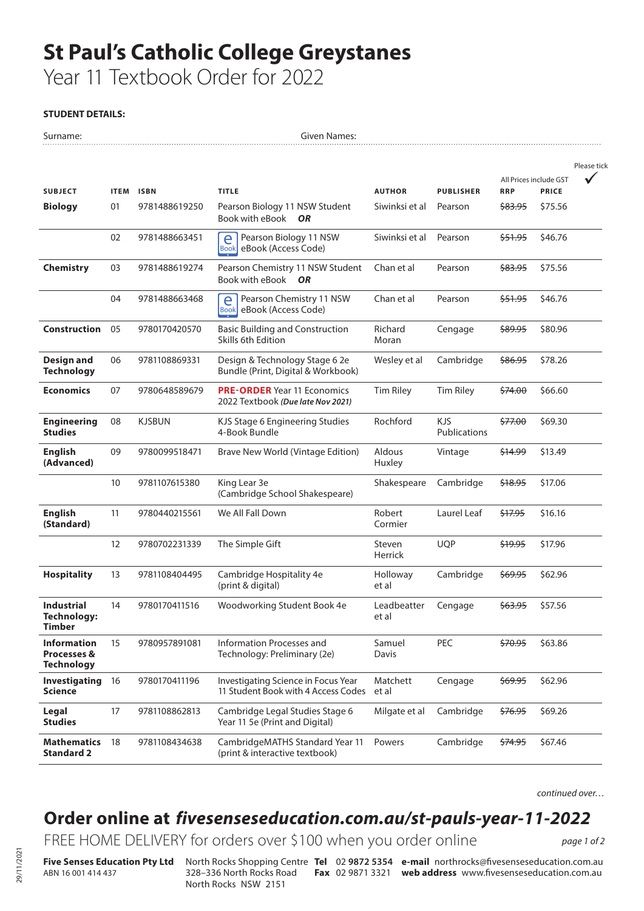# **St Paul's Catholic College Greystanes**

Year 11 Textbook Order for 2022

#### **STUDENT DETAILS:**

| All Prices include GST<br><b>RRP</b><br><b>PRICE</b><br><b>SUBJECT</b><br><b>ITEM</b><br><b>ISBN</b><br><b>TITLE</b><br><b>AUTHOR</b><br><b>PUBLISHER</b><br>Pearson Biology 11 NSW Student<br>\$75.56<br><b>Biology</b><br>01<br>9781488619250<br>Siwinksi et al<br>Pearson<br><del>\$83.95</del><br>Book with eBook<br><b>OR</b><br>02<br>Siwinksi et al<br>\$51.95<br>\$46.76<br>9781488663451<br>Pearson Biology 11 NSW<br>Pearson<br>e<br>eBook (Access Code)<br><b>Book</b><br><b>Chemistry</b><br>03<br>9781488619274<br>Pearson Chemistry 11 NSW Student<br>Chan et al<br>\$75.56<br>Pearson<br><del>\$83.95</del><br>Book with eBook OR<br>04<br>Chan et al<br>\$51.95<br>\$46.76<br>9781488663468<br>Pearson Chemistry 11 NSW<br>Pearson<br>e<br>eBook (Access Code)<br><b>Book</b><br><b>Construction</b><br>05<br>Richard<br>9780170420570<br><b>Basic Building and Construction</b><br>Cengage<br><del>\$89.95</del><br>\$80.96<br>Skills 6th Edition<br>Moran<br><b>Design and</b><br>Design & Technology Stage 6 2e<br>06<br>9781108869331<br>Wesley et al<br>Cambridge<br>\$86.95<br>\$78.26<br><b>Technology</b><br>Bundle (Print, Digital & Workbook)<br><b>Economics</b><br>07<br><b>PRE-ORDER</b> Year 11 Economics<br><b>Tim Riley</b><br><b>Tim Riley</b><br>\$66.60<br>9780648589679<br>\$74.00<br>2022 Textbook (Due late Nov 2021)<br>Rochford<br><b>KJS</b><br>08<br><b>KJSBUN</b><br>\$77.00<br>\$69.30<br><b>Engineering</b><br>KJS Stage 6 Engineering Studies<br>Publications<br><b>Studies</b><br>4-Book Bundle<br><b>English</b><br>09<br>Aldous<br>9780099518471<br>Brave New World (Vintage Edition)<br>\$14.99<br>\$13.49<br>Vintage<br>(Advanced)<br>Huxley<br>10<br>9781107615380<br>Cambridge<br>\$17.06<br>King Lear 3e<br>Shakespeare<br>\$18.95<br>(Cambridge School Shakespeare)<br><b>English</b><br>11<br>We All Fall Down<br>Robert<br>Laurel Leaf<br>\$16.16<br>9780440215561<br>\$17.95<br>Cormier<br>(Standard)<br>12<br><b>UQP</b><br>\$19.95<br>\$17.96<br>9780702231339<br>The Simple Gift<br>Steven<br>Herrick<br>Cambridge<br>\$62.96<br><b>Hospitality</b><br>13<br>9781108404495<br>Cambridge Hospitality 4e<br>Holloway<br>\$69.95<br>et al<br>(print & digital)<br><b>Industrial</b><br>14<br>Leadbeatter<br>\$57.56<br>9780170411516<br>Woodworking Student Book 4e<br><del>\$63.95</del><br>Cengage<br><b>Technology:</b><br>et al<br><b>Timber</b><br>Information Processes and<br>PEC<br>\$63.86<br><b>Information</b><br>15<br>9780957891081<br>Samuel<br>\$70.95<br><b>Processes &amp;</b><br>Davis<br>Technology: Preliminary (2e)<br><b>Technology</b><br>Investigating<br>Investigating Science in Focus Year<br>Matchett<br>\$62.96<br>16<br>9780170411196<br>Cengage<br>\$69.95<br>11 Student Book with 4 Access Codes<br>Science<br>et al<br>17<br>Cambridge<br>\$69.26<br>Legal<br>9781108862813<br>Cambridge Legal Studies Stage 6<br>Milgate et al<br>\$76.95<br><b>Studies</b><br>Year 11 5e (Print and Digital)<br><b>Mathematics</b><br>CambridgeMATHS Standard Year 11<br>18<br>9781108434638<br>Powers<br>Cambridge<br>\$74.95<br>\$67.46<br><b>Standard 2</b><br>(print & interactive textbook) | Surname: |  | Given Names: |  |  |             |
|-------------------------------------------------------------------------------------------------------------------------------------------------------------------------------------------------------------------------------------------------------------------------------------------------------------------------------------------------------------------------------------------------------------------------------------------------------------------------------------------------------------------------------------------------------------------------------------------------------------------------------------------------------------------------------------------------------------------------------------------------------------------------------------------------------------------------------------------------------------------------------------------------------------------------------------------------------------------------------------------------------------------------------------------------------------------------------------------------------------------------------------------------------------------------------------------------------------------------------------------------------------------------------------------------------------------------------------------------------------------------------------------------------------------------------------------------------------------------------------------------------------------------------------------------------------------------------------------------------------------------------------------------------------------------------------------------------------------------------------------------------------------------------------------------------------------------------------------------------------------------------------------------------------------------------------------------------------------------------------------------------------------------------------------------------------------------------------------------------------------------------------------------------------------------------------------------------------------------------------------------------------------------------------------------------------------------------------------------------------------------------------------------------------------------------------------------------------------------------------------------------------------------------------------------------------------------------------------------------------------------------------------------------------------------------------------------------------------------------------------------------------------------------------------------------------------------------------------------------------------------------------------------------------------------------------------------------------------------------------------------------------------------------------------------------------------------------------------------------------------------------------------------------------------------------|----------|--|--------------|--|--|-------------|
|                                                                                                                                                                                                                                                                                                                                                                                                                                                                                                                                                                                                                                                                                                                                                                                                                                                                                                                                                                                                                                                                                                                                                                                                                                                                                                                                                                                                                                                                                                                                                                                                                                                                                                                                                                                                                                                                                                                                                                                                                                                                                                                                                                                                                                                                                                                                                                                                                                                                                                                                                                                                                                                                                                                                                                                                                                                                                                                                                                                                                                                                                                                                                                               |          |  |              |  |  | Please tick |
|                                                                                                                                                                                                                                                                                                                                                                                                                                                                                                                                                                                                                                                                                                                                                                                                                                                                                                                                                                                                                                                                                                                                                                                                                                                                                                                                                                                                                                                                                                                                                                                                                                                                                                                                                                                                                                                                                                                                                                                                                                                                                                                                                                                                                                                                                                                                                                                                                                                                                                                                                                                                                                                                                                                                                                                                                                                                                                                                                                                                                                                                                                                                                                               |          |  |              |  |  |             |
|                                                                                                                                                                                                                                                                                                                                                                                                                                                                                                                                                                                                                                                                                                                                                                                                                                                                                                                                                                                                                                                                                                                                                                                                                                                                                                                                                                                                                                                                                                                                                                                                                                                                                                                                                                                                                                                                                                                                                                                                                                                                                                                                                                                                                                                                                                                                                                                                                                                                                                                                                                                                                                                                                                                                                                                                                                                                                                                                                                                                                                                                                                                                                                               |          |  |              |  |  |             |
|                                                                                                                                                                                                                                                                                                                                                                                                                                                                                                                                                                                                                                                                                                                                                                                                                                                                                                                                                                                                                                                                                                                                                                                                                                                                                                                                                                                                                                                                                                                                                                                                                                                                                                                                                                                                                                                                                                                                                                                                                                                                                                                                                                                                                                                                                                                                                                                                                                                                                                                                                                                                                                                                                                                                                                                                                                                                                                                                                                                                                                                                                                                                                                               |          |  |              |  |  |             |
|                                                                                                                                                                                                                                                                                                                                                                                                                                                                                                                                                                                                                                                                                                                                                                                                                                                                                                                                                                                                                                                                                                                                                                                                                                                                                                                                                                                                                                                                                                                                                                                                                                                                                                                                                                                                                                                                                                                                                                                                                                                                                                                                                                                                                                                                                                                                                                                                                                                                                                                                                                                                                                                                                                                                                                                                                                                                                                                                                                                                                                                                                                                                                                               |          |  |              |  |  |             |
|                                                                                                                                                                                                                                                                                                                                                                                                                                                                                                                                                                                                                                                                                                                                                                                                                                                                                                                                                                                                                                                                                                                                                                                                                                                                                                                                                                                                                                                                                                                                                                                                                                                                                                                                                                                                                                                                                                                                                                                                                                                                                                                                                                                                                                                                                                                                                                                                                                                                                                                                                                                                                                                                                                                                                                                                                                                                                                                                                                                                                                                                                                                                                                               |          |  |              |  |  |             |
|                                                                                                                                                                                                                                                                                                                                                                                                                                                                                                                                                                                                                                                                                                                                                                                                                                                                                                                                                                                                                                                                                                                                                                                                                                                                                                                                                                                                                                                                                                                                                                                                                                                                                                                                                                                                                                                                                                                                                                                                                                                                                                                                                                                                                                                                                                                                                                                                                                                                                                                                                                                                                                                                                                                                                                                                                                                                                                                                                                                                                                                                                                                                                                               |          |  |              |  |  |             |
|                                                                                                                                                                                                                                                                                                                                                                                                                                                                                                                                                                                                                                                                                                                                                                                                                                                                                                                                                                                                                                                                                                                                                                                                                                                                                                                                                                                                                                                                                                                                                                                                                                                                                                                                                                                                                                                                                                                                                                                                                                                                                                                                                                                                                                                                                                                                                                                                                                                                                                                                                                                                                                                                                                                                                                                                                                                                                                                                                                                                                                                                                                                                                                               |          |  |              |  |  |             |
|                                                                                                                                                                                                                                                                                                                                                                                                                                                                                                                                                                                                                                                                                                                                                                                                                                                                                                                                                                                                                                                                                                                                                                                                                                                                                                                                                                                                                                                                                                                                                                                                                                                                                                                                                                                                                                                                                                                                                                                                                                                                                                                                                                                                                                                                                                                                                                                                                                                                                                                                                                                                                                                                                                                                                                                                                                                                                                                                                                                                                                                                                                                                                                               |          |  |              |  |  |             |
|                                                                                                                                                                                                                                                                                                                                                                                                                                                                                                                                                                                                                                                                                                                                                                                                                                                                                                                                                                                                                                                                                                                                                                                                                                                                                                                                                                                                                                                                                                                                                                                                                                                                                                                                                                                                                                                                                                                                                                                                                                                                                                                                                                                                                                                                                                                                                                                                                                                                                                                                                                                                                                                                                                                                                                                                                                                                                                                                                                                                                                                                                                                                                                               |          |  |              |  |  |             |
|                                                                                                                                                                                                                                                                                                                                                                                                                                                                                                                                                                                                                                                                                                                                                                                                                                                                                                                                                                                                                                                                                                                                                                                                                                                                                                                                                                                                                                                                                                                                                                                                                                                                                                                                                                                                                                                                                                                                                                                                                                                                                                                                                                                                                                                                                                                                                                                                                                                                                                                                                                                                                                                                                                                                                                                                                                                                                                                                                                                                                                                                                                                                                                               |          |  |              |  |  |             |
|                                                                                                                                                                                                                                                                                                                                                                                                                                                                                                                                                                                                                                                                                                                                                                                                                                                                                                                                                                                                                                                                                                                                                                                                                                                                                                                                                                                                                                                                                                                                                                                                                                                                                                                                                                                                                                                                                                                                                                                                                                                                                                                                                                                                                                                                                                                                                                                                                                                                                                                                                                                                                                                                                                                                                                                                                                                                                                                                                                                                                                                                                                                                                                               |          |  |              |  |  |             |
|                                                                                                                                                                                                                                                                                                                                                                                                                                                                                                                                                                                                                                                                                                                                                                                                                                                                                                                                                                                                                                                                                                                                                                                                                                                                                                                                                                                                                                                                                                                                                                                                                                                                                                                                                                                                                                                                                                                                                                                                                                                                                                                                                                                                                                                                                                                                                                                                                                                                                                                                                                                                                                                                                                                                                                                                                                                                                                                                                                                                                                                                                                                                                                               |          |  |              |  |  |             |
|                                                                                                                                                                                                                                                                                                                                                                                                                                                                                                                                                                                                                                                                                                                                                                                                                                                                                                                                                                                                                                                                                                                                                                                                                                                                                                                                                                                                                                                                                                                                                                                                                                                                                                                                                                                                                                                                                                                                                                                                                                                                                                                                                                                                                                                                                                                                                                                                                                                                                                                                                                                                                                                                                                                                                                                                                                                                                                                                                                                                                                                                                                                                                                               |          |  |              |  |  |             |
|                                                                                                                                                                                                                                                                                                                                                                                                                                                                                                                                                                                                                                                                                                                                                                                                                                                                                                                                                                                                                                                                                                                                                                                                                                                                                                                                                                                                                                                                                                                                                                                                                                                                                                                                                                                                                                                                                                                                                                                                                                                                                                                                                                                                                                                                                                                                                                                                                                                                                                                                                                                                                                                                                                                                                                                                                                                                                                                                                                                                                                                                                                                                                                               |          |  |              |  |  |             |
|                                                                                                                                                                                                                                                                                                                                                                                                                                                                                                                                                                                                                                                                                                                                                                                                                                                                                                                                                                                                                                                                                                                                                                                                                                                                                                                                                                                                                                                                                                                                                                                                                                                                                                                                                                                                                                                                                                                                                                                                                                                                                                                                                                                                                                                                                                                                                                                                                                                                                                                                                                                                                                                                                                                                                                                                                                                                                                                                                                                                                                                                                                                                                                               |          |  |              |  |  |             |
|                                                                                                                                                                                                                                                                                                                                                                                                                                                                                                                                                                                                                                                                                                                                                                                                                                                                                                                                                                                                                                                                                                                                                                                                                                                                                                                                                                                                                                                                                                                                                                                                                                                                                                                                                                                                                                                                                                                                                                                                                                                                                                                                                                                                                                                                                                                                                                                                                                                                                                                                                                                                                                                                                                                                                                                                                                                                                                                                                                                                                                                                                                                                                                               |          |  |              |  |  |             |
|                                                                                                                                                                                                                                                                                                                                                                                                                                                                                                                                                                                                                                                                                                                                                                                                                                                                                                                                                                                                                                                                                                                                                                                                                                                                                                                                                                                                                                                                                                                                                                                                                                                                                                                                                                                                                                                                                                                                                                                                                                                                                                                                                                                                                                                                                                                                                                                                                                                                                                                                                                                                                                                                                                                                                                                                                                                                                                                                                                                                                                                                                                                                                                               |          |  |              |  |  |             |
|                                                                                                                                                                                                                                                                                                                                                                                                                                                                                                                                                                                                                                                                                                                                                                                                                                                                                                                                                                                                                                                                                                                                                                                                                                                                                                                                                                                                                                                                                                                                                                                                                                                                                                                                                                                                                                                                                                                                                                                                                                                                                                                                                                                                                                                                                                                                                                                                                                                                                                                                                                                                                                                                                                                                                                                                                                                                                                                                                                                                                                                                                                                                                                               |          |  |              |  |  |             |
|                                                                                                                                                                                                                                                                                                                                                                                                                                                                                                                                                                                                                                                                                                                                                                                                                                                                                                                                                                                                                                                                                                                                                                                                                                                                                                                                                                                                                                                                                                                                                                                                                                                                                                                                                                                                                                                                                                                                                                                                                                                                                                                                                                                                                                                                                                                                                                                                                                                                                                                                                                                                                                                                                                                                                                                                                                                                                                                                                                                                                                                                                                                                                                               |          |  |              |  |  |             |

*continued over…*

## **Order online at** *[fivesenseseducation.com.au/st-pauls-year-11-2022](https://fivesenseseducation.com.au/st-pauls-year-11-2022)*

FREE HOME DELIVERY for orders over \$100 when you order online

*page 1 of 2*

ABN 16 001 414 437

North Rocks NSW 2151

**Five Senses Education Pty Ltd** North Rocks Shopping Centre **Tel** 02 **9872 5354 e-mail** northrocks@fivesenseseducation.com.au 328–336 North Rocks Road **Fax** 02 9871 3321 **web address** www.fivesenseseducation.com.au